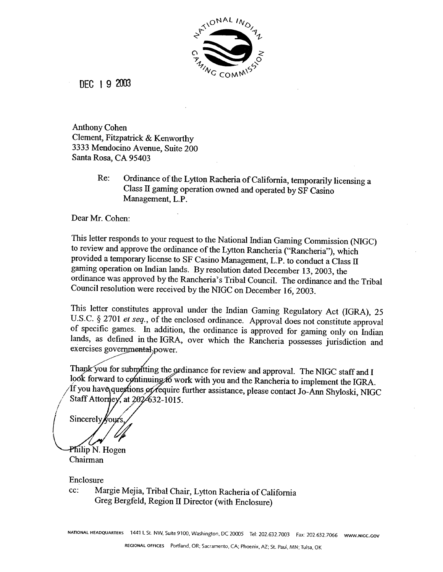

DEC **1 9** ZOO3

Anthony Cohen Clement, Fitzpatrick & Kenworthy 3333 Mendocino Avenue, Suite 200 Santa Rosa, **CA** 95403

> Re: Ordinance of the Lytton Racheria of California, temporarily licensing a Class **II** gaming operation owned and operated by SF Casino Management, L.P.

Dear Mr. Cohen:

This letter responds to your request to the National Indian Gaming Commission (NIGC) to review and approve the ordinance of the Lytton Rancheria ("Rancheria"), which provided a temporary license to SF Casino Management, L.P. to conduct a **Class II**  gaming operation on Indian lands. By resolution dated December 13,2003, the ordinance was approved by the Rancheria's Tribal Council. The ordinance and the Tribal Council resolution were received by the NTGC on December 16,2003.

This letter constitutes approval under the Indian Gaming Regulatory Act (IGRA), 25 U.S.C. § 2701 *et seq.*, of the enclosed ordinance. Approval does not constitute approval of specific games. In addition, the ordinance is approved for gaming only on Indian lands, as defined in the IGRA, over which the Rancheria possesses jurisdiction and exercises governmental power.

Thank you for submitting the ordinance for review and approval. The NIGC staff and I look forward to continuing 6 work with you and the Rancheria to implement the IGRA. If you have questions of require further assistance, please contact Jo-Ann Shyloski, NIGC Staff Attorney, at 202-632-1015.

Sincerely Vours

Philip N. Hogen Chairman

Enclosure

cc: Margie Mejia, Tribal Chair, Lytton Racheria of California Greg Bergfeld, Region **II** Director (with Enclosure)

**NATIONAL HEADQUARTERS** 1441 t. St. NW, Suite 9100. Washington. **DC** 20005 Tel: 202.632.7003 **Fax:** 202.632.7066 **www.NlGc.GoV**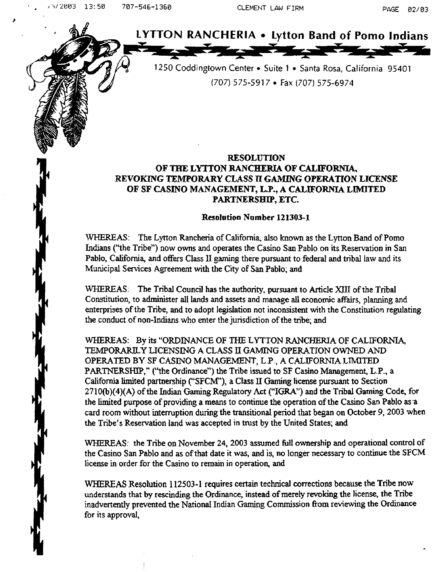**herefore the CLEMENT LAW FIRM**<br> **hade LYTTON RANCHERIA** • Lytton Band of Pomo Indians

1250 Coddingtown Center • Suite 1 • Santa Rosa, California 95401 (707) 575-591 7 **Fax (707)** 575-6974

## **RESOLUTION OF** TRE **LYTTON RANCHERIA OF CALIFORNIA, REVOKING TEMPORARY CLASS TI** *GAMING* **OPERATION LICENSE OF SF CASINO MANAGEMENT, L.P., A CAILIFORNIA LIMITED PARTNERSHIP, ETC.**

## **Resolution Number 121303-1.**

WHEREAS: The Lytton Rancheria of California, also known as the Lytton Band of Pomo Indians ("'the Tribe") now owns and operates the Casino **San** Pablo on **its** Reservation in **San**  Pablo, California, and offers Class **I1 gaming** there pursuant to federal and tribal law and its Municipal Services Agreement with the City of San Pablo; and

WHEREAS; The **Tribal** Council has the authority, pursuant to Article **XJT** of the Tribal Constitution, to administer all lands and assets and manage all economic affairs, planning and enterprises of the Tribe, and to adopt legislation not inconsistent with the Constitution regulating the conduct of non-Indians who **enter** the jurisdiction of the tribe; and

WHEREAS: By its **"ORDINANCE OF** THE LWTON **RANCHERIA OF CALIFORNA, TEMPOMRLY LICENSING A** CLASS **II GAMZNG OPERATION** OWNED **AND**  OPERATED **BY SF CASINO MANAGEMENT, L.P., A**CALIFORNIA **J,TMITED**  PARTNERSHIP," **("the** Ordinance") the Tribe **issued** to SF Casino Management, **L.P.,** a California **limited partnership ("SFCM"), a** Class **II Gaming** license pursuant to Section 27 **10@)(4)(A)** of **the lndian Gaming** Regulatory Act **("IGRA")** and the Tribal Gaming Code, **for**  the limited purpose of providing a means to continue the operation of the Casino **San** Pablo as-a card room without intemption during the transitional period that began on October 9, **2003** when **the** Tribe's Reservation land was accepted in **ttust** by the United States; and

WHEREAS: the Tribe on November 24, 2003 **assumed full** ownership and operational control of the Casino **San** Pablo and **as** of that date **it was,** and is, no longer necessary to continue the SFCM license **in** order for the Casino to **remain** in operation, **and** 

**WHEREAS** Resolution 1 **12503-** 1 requires certain technical corrections because the Tribe now understands that by **rescinding** the Ordinance, instead of merely revoking the license, the Tribe inadvertently **prevented** the National **Indian Gaming** Commission fiorn reviewing **the** Ordinance for its approval,